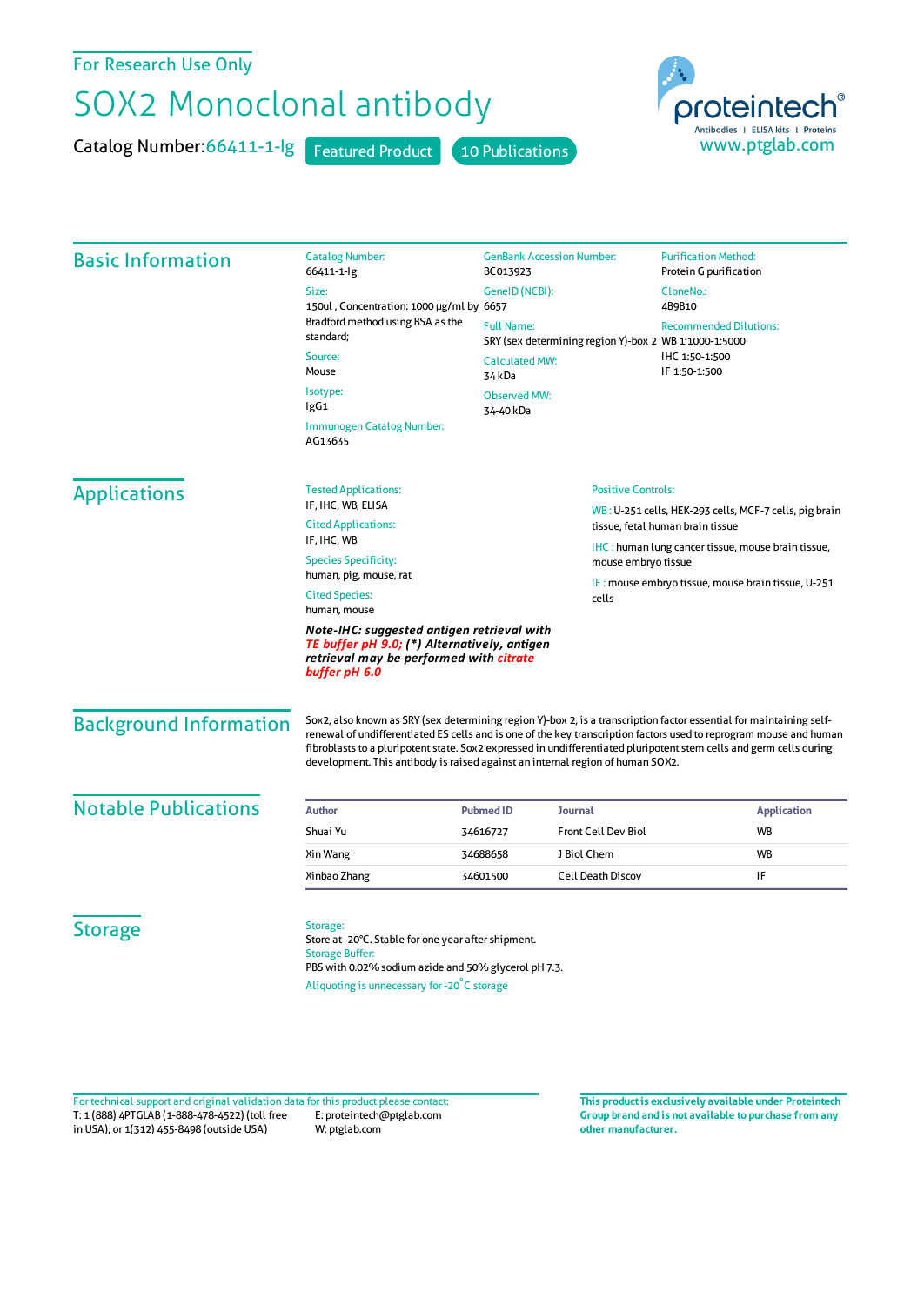For Research Use Only

## SOX2 Monoclonal antibody

Catalog Number:66411-1-lg Featured Product 10 Publications



| <b>Basic Information</b>                                                                                                                                            | <b>Catalog Number:</b><br>66411-1-lg                                                                                                                                                                                                                                                                                                                                                                                                               | <b>GenBank Accession Number:</b><br>BC013923<br>GeneID (NCBI):                                                |                            | <b>Purification Method:</b><br>Protein G purification<br>CloneNo.:<br>4B9B10 |                                                     |                           |
|---------------------------------------------------------------------------------------------------------------------------------------------------------------------|----------------------------------------------------------------------------------------------------------------------------------------------------------------------------------------------------------------------------------------------------------------------------------------------------------------------------------------------------------------------------------------------------------------------------------------------------|---------------------------------------------------------------------------------------------------------------|----------------------------|------------------------------------------------------------------------------|-----------------------------------------------------|---------------------------|
|                                                                                                                                                                     | Size:                                                                                                                                                                                                                                                                                                                                                                                                                                              |                                                                                                               |                            |                                                                              |                                                     |                           |
|                                                                                                                                                                     | 150ul, Concentration: 1000 µg/ml by 6657<br>Bradford method using BSA as the<br>standard;<br>Source:<br>Mouse                                                                                                                                                                                                                                                                                                                                      |                                                                                                               |                            |                                                                              |                                                     |                           |
|                                                                                                                                                                     |                                                                                                                                                                                                                                                                                                                                                                                                                                                    | <b>Full Name:</b><br>SRY (sex determining region Y)-box 2 WB 1:1000-1:5000<br><b>Calculated MW:</b><br>34 kDa |                            | <b>Recommended Dilutions:</b><br>IHC 1:50-1:500<br>IF 1:50-1:500             |                                                     |                           |
|                                                                                                                                                                     |                                                                                                                                                                                                                                                                                                                                                                                                                                                    |                                                                                                               |                            |                                                                              |                                                     | Isotype:<br>lgG1          |
|                                                                                                                                                                     | <b>Immunogen Catalog Number:</b><br>AG13635                                                                                                                                                                                                                                                                                                                                                                                                        |                                                                                                               |                            |                                                                              |                                                     |                           |
|                                                                                                                                                                     | <b>Applications</b>                                                                                                                                                                                                                                                                                                                                                                                                                                | <b>Tested Applications:</b>                                                                                   |                            |                                                                              |                                                     | <b>Positive Controls:</b> |
| IF, IHC, WB, ELISA                                                                                                                                                  |                                                                                                                                                                                                                                                                                                                                                                                                                                                    |                                                                                                               |                            | WB: U-251 cells, HEK-293 cells, MCF-7 cells, pig brain                       |                                                     |                           |
| <b>Cited Applications:</b><br>IF, IHC, WB                                                                                                                           |                                                                                                                                                                                                                                                                                                                                                                                                                                                    |                                                                                                               |                            |                                                                              | tissue, fetal human brain tissue                    |                           |
| <b>Species Specificity:</b>                                                                                                                                         |                                                                                                                                                                                                                                                                                                                                                                                                                                                    | mouse embryo tissue                                                                                           |                            |                                                                              | IHC : human lung cancer tissue, mouse brain tissue, |                           |
| human, pig, mouse, rat                                                                                                                                              |                                                                                                                                                                                                                                                                                                                                                                                                                                                    |                                                                                                               |                            | IF: mouse embryo tissue, mouse brain tissue, U-251                           |                                                     |                           |
| <b>Cited Species:</b><br>cells<br>human, mouse                                                                                                                      |                                                                                                                                                                                                                                                                                                                                                                                                                                                    |                                                                                                               |                            |                                                                              |                                                     |                           |
| Note-IHC: suggested antigen retrieval with<br>TE buffer pH 9.0; (*) Alternatively, antigen<br>retrieval may be performed with <mark>citrate</mark><br>buffer pH 6.0 |                                                                                                                                                                                                                                                                                                                                                                                                                                                    |                                                                                                               |                            |                                                                              |                                                     |                           |
| <b>Background Information</b>                                                                                                                                       | Sox2, also known as SRY (sex determining region Y)-box 2, is a transcription factor essential for maintaining self-<br>renewal of undifferentiated ES cells and is one of the key transcription factors used to reprogram mouse and human<br>fibroblasts to a pluripotent state. Sox2 expressed in undifferentiated pluripotent stem cells and germ cells during<br>development. This antibody is raised against an internal region of human SOX2. |                                                                                                               |                            |                                                                              |                                                     |                           |
| <b>Notable Publications</b>                                                                                                                                         | <b>Author</b>                                                                                                                                                                                                                                                                                                                                                                                                                                      | <b>Pubmed ID</b>                                                                                              | <b>Journal</b>             |                                                                              | <b>Application</b>                                  |                           |
|                                                                                                                                                                     | Shuai Yu                                                                                                                                                                                                                                                                                                                                                                                                                                           | 34616727                                                                                                      | <b>Front Cell Dev Biol</b> |                                                                              | <b>WB</b>                                           |                           |
|                                                                                                                                                                     | Xin Wang                                                                                                                                                                                                                                                                                                                                                                                                                                           | 34688658                                                                                                      | J Biol Chem                |                                                                              | WB                                                  |                           |
|                                                                                                                                                                     | Xinbao Zhang                                                                                                                                                                                                                                                                                                                                                                                                                                       | 34601500                                                                                                      | <b>Cell Death Discov</b>   |                                                                              | IF                                                  |                           |
| <b>Storage</b>                                                                                                                                                      | Storage:<br>Store at -20°C. Stable for one year after shipment.<br><b>Storage Buffer:</b><br>PBS with 0.02% sodium azide and 50% glycerol pH 7.3.                                                                                                                                                                                                                                                                                                  |                                                                                                               |                            |                                                                              |                                                     |                           |

Aliquoting is unnecessary for -20<sup>°</sup>C storage

T: 1 (888) 4PTGLAB (1-888-478-4522) (toll free in USA), or 1(312) 455-8498 (outside USA) E: proteintech@ptglab.com W: ptglab.com Fortechnical support and original validation data forthis product please contact: **This productis exclusively available under Proteintech**

**Group brand and is not available to purchase from any other manufacturer.**